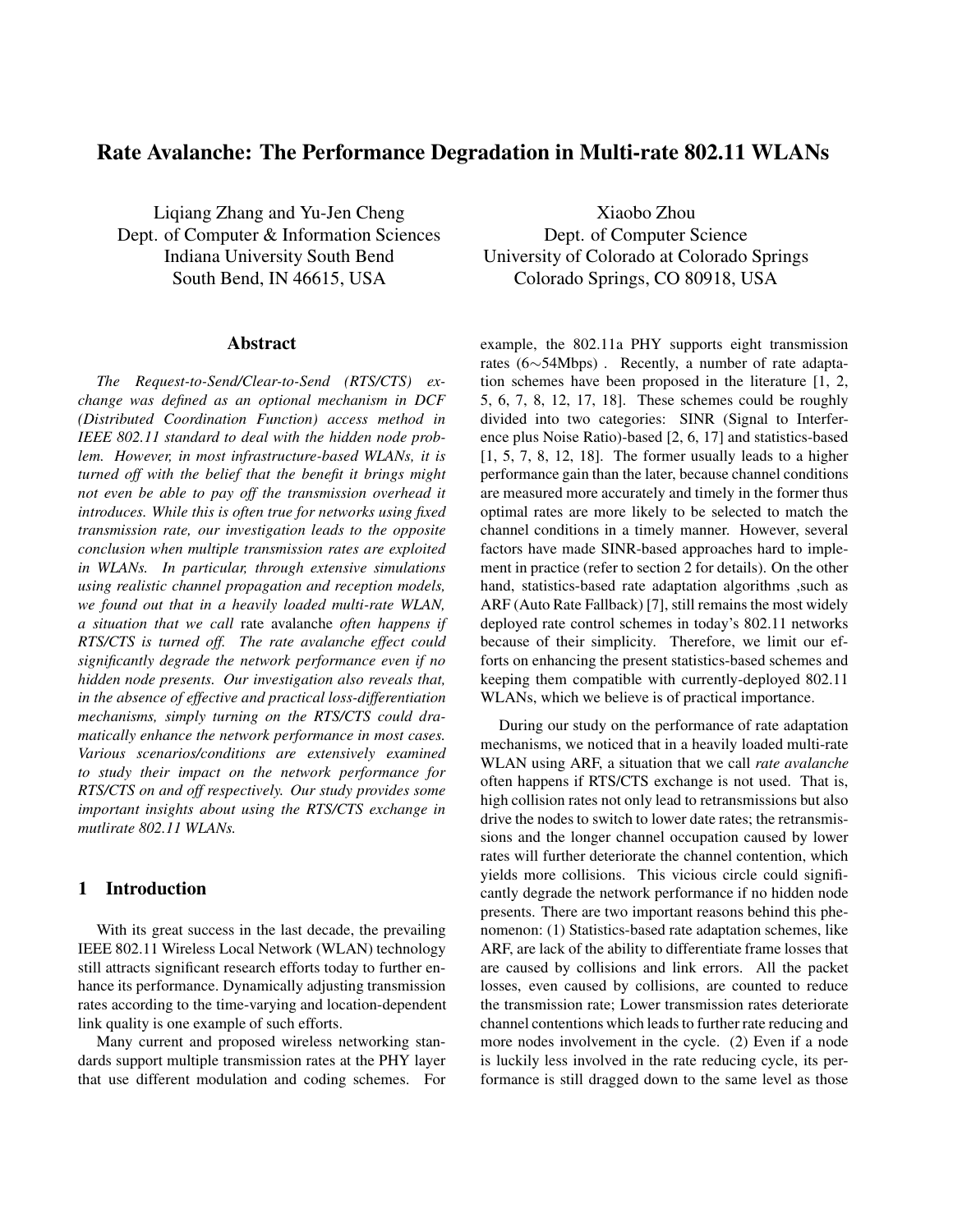# **Rate Avalanche: The Performance Degradation in Multi-rate 802.11 WLANs**

Liqiang Zhang and Yu-Jen Cheng Dept. of Computer & Information Sciences Indiana University South Bend South Bend, IN 46615, USA

### **Abstract**

*The Request-to-Send/Clear-to-Send (RTS/CTS) exchange was defined as an optional mechanism in DCF (Distributed Coordination Function) access method in IEEE 802.11 standard to deal with the hidden node problem. However, in most infrastructure-based WLANs, it is turned off with the belief that the benefit it brings might not even be able to pay off the transmission overhead it introduces. While this is often true for networks using fixed transmission rate, our investigation leads to the opposite conclusion when multiple transmission rates are exploited in WLANs. In particular, through extensive simulations using realistic channel propagation and reception models, we found out that in a heavily loaded multi-rate WLAN, a situation that we call* rate avalanche *often happens if RTS/CTS is turned off. The rate avalanche effect could significantly degrade the network performance even if no hidden node presents. Our investigation also reveals that, in the absence of effective and practical loss-differentiation mechanisms, simply turning on the RTS/CTS could dramatically enhance the network performance in most cases. Various scenarios/conditions are extensively examined to study their impact on the network performance for RTS/CTS on and off respectively. Our study provides some important insights about using the RTS/CTS exchange in mutlirate 802.11 WLANs.*

## **1 Introduction**

With its great success in the last decade, the prevailing IEEE 802.11 Wireless Local Network (WLAN) technology still attracts significant research efforts today to further enhance its performance. Dynamically adjusting transmission rates according to the time-varying and location-dependent link quality is one example of such efforts.

Many current and proposed wireless networking standards support multiple transmission rates at the PHY layer that use different modulation and coding schemes. For

Xiaobo Zhou Dept. of Computer Science University of Colorado at Colorado Springs Colorado Springs, CO 80918, USA

example, the 802.11a PHY supports eight transmission rates (6∼54Mbps) . Recently, a number of rate adaptation schemes have been proposed in the literature [1, 2, 5, 6, 7, 8, 12, 17, 18]. These schemes could be roughly divided into two categories: SINR (Signal to Interference plus Noise Ratio)-based [2, 6, 17] and statistics-based  $[1, 5, 7, 8, 12, 18]$ . The former usually leads to a higher performance gain than the later, because channel conditions are measured more accurately and timely in the former thus optimal rates are more likely to be selected to match the channel conditions in a timely manner. However, several factors have made SINR-based approaches hard to implement in practice (refer to section 2 for details). On the other hand, statistics-based rate adaptation algorithms , such as ARF (Auto Rate Fallback) [7], still remains the most widely deployed rate control schemes in today's 802.11 networks because of their simplicity. Therefore, we limit our efforts on enhancing the present statistics-based schemes and keeping them compatible with currently-deployed 802.11 WLANs, which we believe is of practical importance.

During our study on the performance of rate adaptation mechanisms, we noticed that in a heavily loaded multi-rate WLAN using ARF, a situation that we call *rate avalanche* often happens if RTS/CTS exchange is not used. That is, high collision rates not only lead to retransmissions but also drive the nodes to switch to lower date rates; the retransmissions and the longer channel occupation caused by lower rates will further deteriorate the channel contention, which yields more collisions. This vicious circle could significantly degrade the network performance if no hidden node presents. There are two important reasons behind this phenomenon: (1) Statistics-based rate adaptation schemes, like ARF, are lack of the ability to differentiate frame losses that are caused by collisions and link errors. All the packet losses, even caused by collisions, are counted to reduce the transmission rate; Lower transmission rates deteriorate channel contentions which leads to further rate reducing and more nodes involvement in the cycle. (2) Even if a node is luckily less involved in the rate reducing cycle, its performance is still dragged down to the same level as those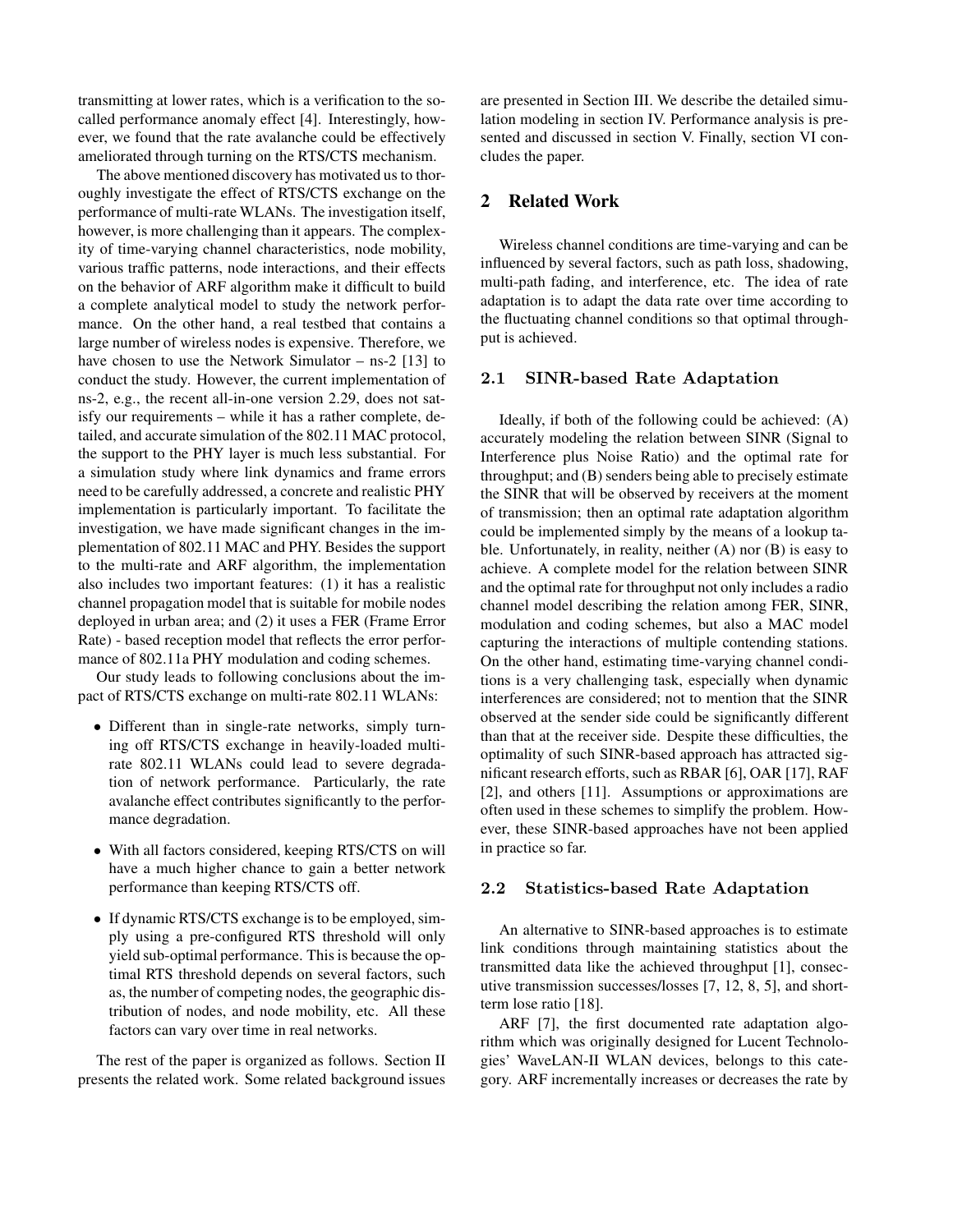transmitting at lower rates, which is a verification to the socalled performance anomaly effect [4]. Interestingly, however, we found that the rate avalanche could be effectively ameliorated through turning on the RTS/CTS mechanism.

The above mentioned discovery has motivated us to thoroughly investigate the effect of RTS/CTS exchange on the performance of multi-rate WLANs. The investigation itself, however, is more challenging than it appears. The complexity of time-varying channel characteristics, node mobility, various traffic patterns, node interactions, and their effects on the behavior of ARF algorithm make it difficult to build a complete analytical model to study the network performance. On the other hand, a real testbed that contains a large number of wireless nodes is expensive. Therefore, we have chosen to use the Network Simulator – ns-2 [13] to conduct the study. However, the current implementation of ns-2, e.g., the recent all-in-one version 2.29, does not satisfy our requirements – while it has a rather complete, detailed, and accurate simulation of the 802.11 MAC protocol, the support to the PHY layer is much less substantial. For a simulation study where link dynamics and frame errors need to be carefully addressed, a concrete and realistic PHY implementation is particularly important. To facilitate the investigation, we have made significant changes in the implementation of 802.11 MAC and PHY. Besides the support to the multi-rate and ARF algorithm, the implementation also includes two important features: (1) it has a realistic channel propagation model that is suitable for mobile nodes deployed in urban area; and (2) it uses a FER (Frame Error Rate) - based reception model that reflects the error performance of 802.11a PHY modulation and coding schemes.

Our study leads to following conclusions about the impact of RTS/CTS exchange on multi-rate 802.11 WLANs:

- Different than in single-rate networks, simply turning off RTS/CTS exchange in heavily-loaded multirate 802.11 WLANs could lead to severe degradation of network performance. Particularly, the rate avalanche effect contributes significantly to the performance degradation.
- With all factors considered, keeping RTS/CTS on will have a much higher chance to gain a better network performance than keeping RTS/CTS off.
- If dynamic RTS/CTS exchange is to be employed, simply using a pre-configured RTS threshold will only yield sub-optimal performance. This is because the optimal RTS threshold depends on several factors, such as, the number of competing nodes, the geographic distribution of nodes, and node mobility, etc. All these factors can vary over time in real networks.

The rest of the paper is organized as follows. Section II presents the related work. Some related background issues

are presented in Section III. We describe the detailed simulation modeling in section IV. Performance analysis is presented and discussed in section V. Finally, section VI concludes the paper.

## **2 Related Work**

Wireless channel conditions are time-varying and can be influenced by several factors, such as path loss, shadowing, multi-path fading, and interference, etc. The idea of rate adaptation is to adapt the data rate over time according to the fluctuating channel conditions so that optimal throughput is achieved.

#### **2.1 SINR-based Rate Adaptation**

Ideally, if both of the following could be achieved: (A) accurately modeling the relation between SINR (Signal to Interference plus Noise Ratio) and the optimal rate for throughput; and (B) senders being able to precisely estimate the SINR that will be observed by receivers at the moment of transmission; then an optimal rate adaptation algorithm could be implemented simply by the means of a lookup table. Unfortunately, in reality, neither (A) nor (B) is easy to achieve. A complete model for the relation between SINR and the optimal rate for throughput not only includes a radio channel model describing the relation among FER, SINR, modulation and coding schemes, but also a MAC model capturing the interactions of multiple contending stations. On the other hand, estimating time-varying channel conditions is a very challenging task, especially when dynamic interferences are considered; not to mention that the SINR observed at the sender side could be significantly different than that at the receiver side. Despite these difficulties, the optimality of such SINR-based approach has attracted significant research efforts, such as RBAR [6], OAR [17], RAF [2], and others [11]. Assumptions or approximations are often used in these schemes to simplify the problem. However, these SINR-based approaches have not been applied in practice so far.

### **2.2 Statistics-based Rate Adaptation**

An alternative to SINR-based approaches is to estimate link conditions through maintaining statistics about the transmitted data like the achieved throughput [1], consecutive transmission successes/losses [7, 12, 8, 5], and shortterm lose ratio [18].

ARF [7], the first documented rate adaptation algorithm which was originally designed for Lucent Technologies' WaveLAN-II WLAN devices, belongs to this category. ARF incrementally increases or decreases the rate by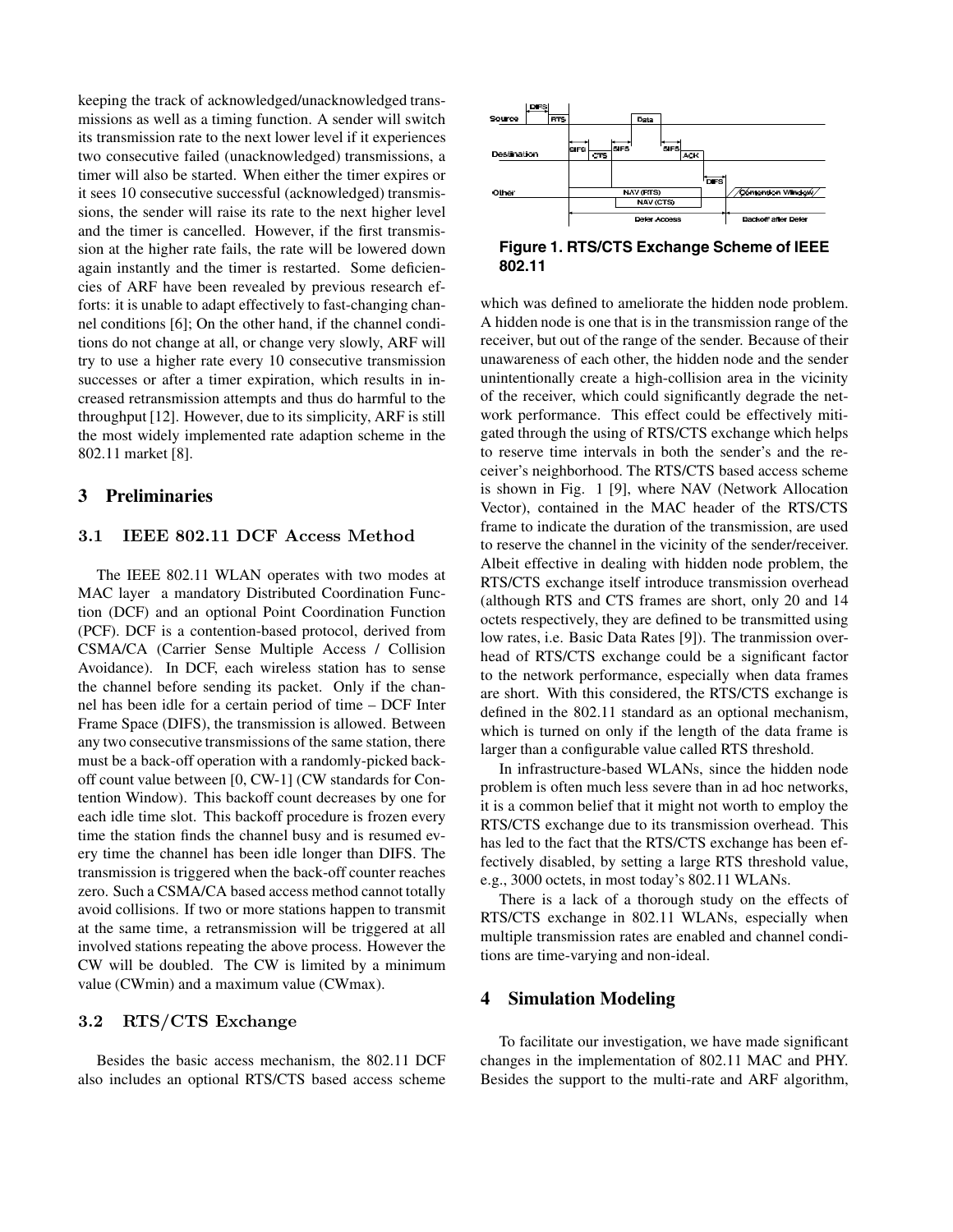keeping the track of acknowledged/unacknowledged transmissions as well as a timing function. A sender will switch its transmission rate to the next lower level if it experiences two consecutive failed (unacknowledged) transmissions, a timer will also be started. When either the timer expires or it sees 10 consecutive successful (acknowledged) transmissions, the sender will raise its rate to the next higher level and the timer is cancelled. However, if the first transmission at the higher rate fails, the rate will be lowered down again instantly and the timer is restarted. Some deficiencies of ARF have been revealed by previous research efforts: it is unable to adapt effectively to fast-changing channel conditions [6]; On the other hand, if the channel conditions do not change at all, or change very slowly, ARF will try to use a higher rate every 10 consecutive transmission successes or after a timer expiration, which results in increased retransmission attempts and thus do harmful to the throughput [12]. However, due to its simplicity, ARF is still the most widely implemented rate adaption scheme in the 802.11 market [8].

## **3 Preliminaries**

## **3.1 IEEE 802.11 DCF Access Method**

The IEEE 802.11 WLAN operates with two modes at MAC layer a mandatory Distributed Coordination Function (DCF) and an optional Point Coordination Function (PCF). DCF is a contention-based protocol, derived from CSMA/CA (Carrier Sense Multiple Access / Collision Avoidance). In DCF, each wireless station has to sense the channel before sending its packet. Only if the channel has been idle for a certain period of time – DCF Inter Frame Space (DIFS), the transmission is allowed. Between any two consecutive transmissions of the same station, there must be a back-off operation with a randomly-picked backoff count value between [0, CW-1] (CW standards for Contention Window). This backoff count decreases by one for each idle time slot. This backoff procedure is frozen every time the station finds the channel busy and is resumed every time the channel has been idle longer than DIFS. The transmission is triggered when the back-off counter reaches zero. Such a CSMA/CA based access method cannot totally avoid collisions. If two or more stations happen to transmit at the same time, a retransmission will be triggered at all involved stations repeating the above process. However the CW will be doubled. The CW is limited by a minimum value (CWmin) and a maximum value (CWmax).

### **3.2 RTS/CTS Exchange**

Besides the basic access mechanism, the 802.11 DCF also includes an optional RTS/CTS based access scheme



## **Figure 1. RTS/CTS Exchange Scheme of IEEE 802.11**

which was defined to ameliorate the hidden node problem. A hidden node is one that is in the transmission range of the receiver, but out of the range of the sender. Because of their unawareness of each other, the hidden node and the sender unintentionally create a high-collision area in the vicinity of the receiver, which could significantly degrade the network performance. This effect could be effectively mitigated through the using of RTS/CTS exchange which helps to reserve time intervals in both the sender's and the receiver's neighborhood. The RTS/CTS based access scheme is shown in Fig. 1 [9], where NAV (Network Allocation Vector), contained in the MAC header of the RTS/CTS frame to indicate the duration of the transmission, are used to reserve the channel in the vicinity of the sender/receiver. Albeit effective in dealing with hidden node problem, the RTS/CTS exchange itself introduce transmission overhead (although RTS and CTS frames are short, only 20 and 14 octets respectively, they are defined to be transmitted using low rates, i.e. Basic Data Rates [9]). The tranmission overhead of RTS/CTS exchange could be a significant factor to the network performance, especially when data frames are short. With this considered, the RTS/CTS exchange is defined in the 802.11 standard as an optional mechanism, which is turned on only if the length of the data frame is larger than a configurable value called RTS threshold.

In infrastructure-based WLANs, since the hidden node problem is often much less severe than in ad hoc networks, it is a common belief that it might not worth to employ the RTS/CTS exchange due to its transmission overhead. This has led to the fact that the RTS/CTS exchange has been effectively disabled, by setting a large RTS threshold value, e.g., 3000 octets, in most today's 802.11 WLANs.

There is a lack of a thorough study on the effects of RTS/CTS exchange in 802.11 WLANs, especially when multiple transmission rates are enabled and channel conditions are time-varying and non-ideal.

## **4 Simulation Modeling**

To facilitate our investigation, we have made significant changes in the implementation of 802.11 MAC and PHY. Besides the support to the multi-rate and ARF algorithm,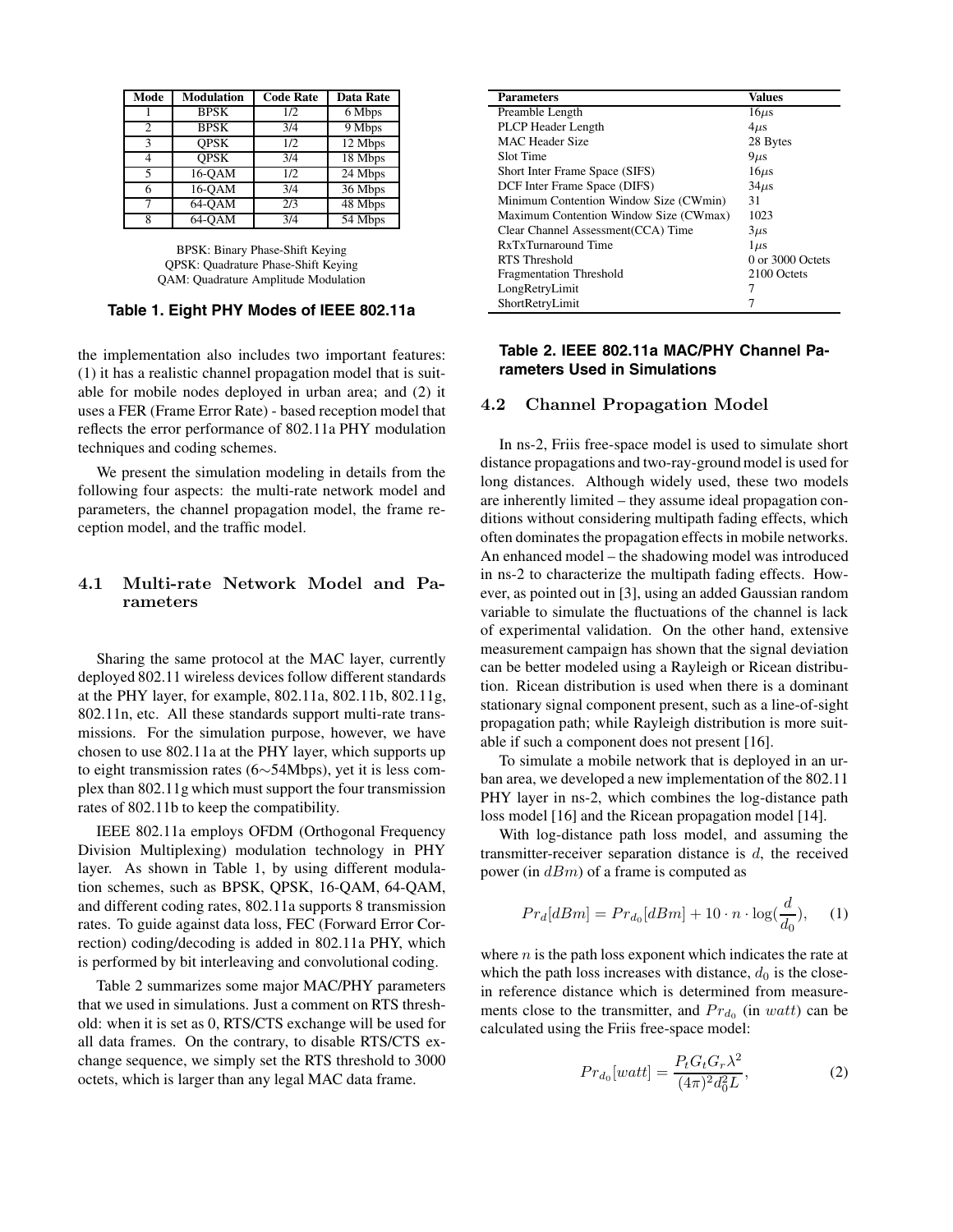| Mode           | Modulation  | <b>Code Rate</b> | Data Rate |
|----------------|-------------|------------------|-----------|
|                | <b>BPSK</b> | 1/2              | 6 Mbps    |
| $\overline{c}$ | <b>BPSK</b> | 3/4              | 9 Mbps    |
| 3              | <b>OPSK</b> | 1/2              | 12 Mbps   |
| 4              | <b>OPSK</b> | 3/4              | 18 Mbps   |
| 5              | 16-OAM      | 1/2              | 24 Mbps   |
| 6              | 16-OAM      | 3/4              | 36 Mbps   |
| 7              | $64-OAM$    | 2/3              | 48 Mbps   |
| 8              | 64-OAM      | 3/4              | 54 Mbps   |

BPSK: Binary Phase-Shift Keying QPSK: Quadrature Phase-Shift Keying QAM: Quadrature Amplitude Modulation

#### **Table 1. Eight PHY Modes of IEEE 802.11a**

the implementation also includes two important features: (1) it has a realistic channel propagation model that is suitable for mobile nodes deployed in urban area; and (2) it uses a FER (Frame Error Rate) - based reception model that reflects the error performance of 802.11a PHY modulation techniques and coding schemes.

We present the simulation modeling in details from the following four aspects: the multi-rate network model and parameters, the channel propagation model, the frame reception model, and the traffic model.

## **4.1 Multi-rate Network Model and Parameters**

Sharing the same protocol at the MAC layer, currently deployed 802.11 wireless devices follow different standards at the PHY layer, for example, 802.11a, 802.11b, 802.11g, 802.11n, etc. All these standards support multi-rate transmissions. For the simulation purpose, however, we have chosen to use 802.11a at the PHY layer, which supports up to eight transmission rates (6∼54Mbps), yet it is less complex than 802.11g which must support the four transmission rates of 802.11b to keep the compatibility.

IEEE 802.11a employs OFDM (Orthogonal Frequency Division Multiplexing) modulation technology in PHY layer. As shown in Table 1, by using different modulation schemes, such as BPSK, QPSK, 16-QAM, 64-QAM, and different coding rates, 802.11a supports 8 transmission rates. To guide against data loss, FEC (Forward Error Correction) coding/decoding is added in 802.11a PHY, which is performed by bit interleaving and convolutional coding.

Table 2 summarizes some major MAC/PHY parameters that we used in simulations. Just a comment on RTS threshold: when it is set as 0, RTS/CTS exchange will be used for all data frames. On the contrary, to disable RTS/CTS exchange sequence, we simply set the RTS threshold to 3000 octets, which is larger than any legal MAC data frame.

| <b>Parameters</b>                      | Values           |
|----------------------------------------|------------------|
| Preamble Length                        | $16\mu s$        |
| PLCP Header Length                     | $4\mu s$         |
| MAC Header Size                        | 28 Bytes         |
| Slot Time                              | $9\mu s$         |
| Short Inter Frame Space (SIFS)         | $16\mu s$        |
| DCF Inter Frame Space (DIFS)           | $34\mu s$        |
| Minimum Contention Window Size (CWmin) | 31               |
| Maximum Contention Window Size (CWmax) | 1023             |
| Clear Channel Assessment (CCA) Time    | $3\mu s$         |
| RxTxTurnaround Time                    | $1 \mu s$        |
| RTS Threshold                          | 0 or 3000 Octets |
| <b>Fragmentation Threshold</b>         | 2100 Octets      |
| LongRetryLimit                         | 7                |
| ShortRetryLimit                        |                  |

## **Table 2. IEEE 802.11a MAC/PHY Channel Parameters Used in Simulations**

#### **4.2 Channel Propagation Model**

In ns-2, Friis free-space model is used to simulate short distance propagations and two-ray-ground model is used for long distances. Although widely used, these two models are inherently limited – they assume ideal propagation conditions without considering multipath fading effects, which often dominates the propagation effects in mobile networks. An enhanced model – the shadowing model was introduced in ns-2 to characterize the multipath fading effects. However, as pointed out in [3], using an added Gaussian random variable to simulate the fluctuations of the channel is lack of experimental validation. On the other hand, extensive measurement campaign has shown that the signal deviation can be better modeled using a Rayleigh or Ricean distribution. Ricean distribution is used when there is a dominant stationary signal component present, such as a line-of-sight propagation path; while Rayleigh distribution is more suitable if such a component does not present [16].

To simulate a mobile network that is deployed in an urban area, we developed a new implementation of the 802.11 PHY layer in ns-2, which combines the log-distance path loss model [16] and the Ricean propagation model [14].

With log-distance path loss model, and assuming the transmitter-receiver separation distance is d, the received power (in  $dBm$ ) of a frame is computed as

$$
Pr_d[dBm] = Pr_{d_0}[dBm] + 10 \cdot n \cdot \log(\frac{d}{d_0}), \quad (1)
$$

where  $n$  is the path loss exponent which indicates the rate at which the path loss increases with distance,  $d_0$  is the closein reference distance which is determined from measurements close to the transmitter, and  $Pr_{d_0}$  (in watt) can be calculated using the Friis free-space model:

$$
Pr_{d_0}[watt] = \frac{P_t G_t G_r \lambda^2}{(4\pi)^2 d_0^2 L},\tag{2}
$$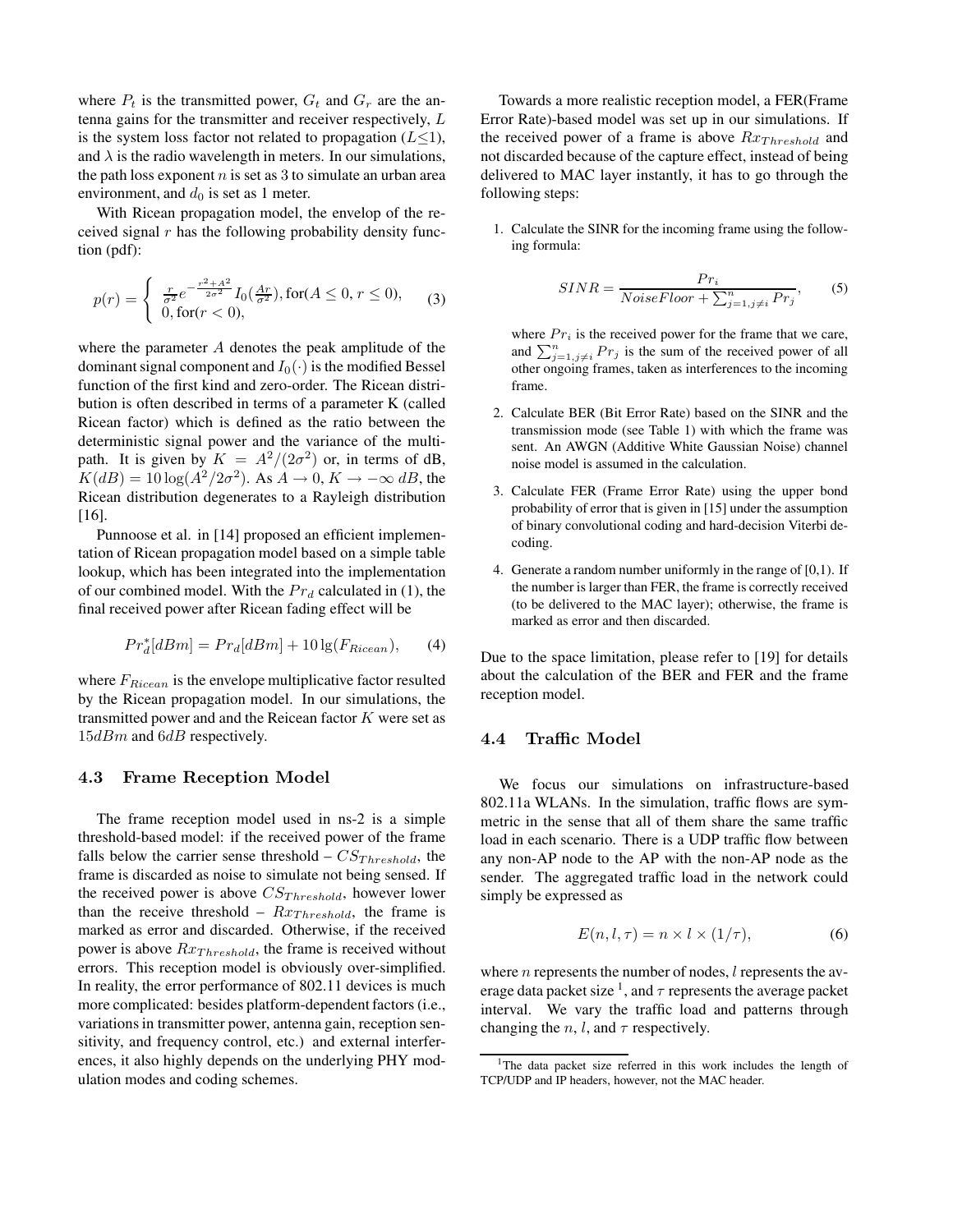where  $P_t$  is the transmitted power,  $G_t$  and  $G_r$  are the antenna gains for the transmitter and receiver respectively, L is the system loss factor not related to propagation ( $L \leq 1$ ), and  $\lambda$  is the radio wavelength in meters. In our simulations, the path loss exponent  $n$  is set as 3 to simulate an urban area environment, and  $d_0$  is set as 1 meter.

With Ricean propagation model, the envelop of the received signal  $r$  has the following probability density function (pdf):

$$
p(r) = \begin{cases} \frac{r}{\sigma^2} e^{-\frac{r^2 + A^2}{2\sigma^2}} I_0(\frac{Ar}{\sigma^2}), \text{for}(A \le 0, r \le 0),\\ 0, \text{for}(r < 0), \end{cases}
$$
(3)

where the parameter A denotes the peak amplitude of the dominant signal component and  $I_0(\cdot)$  is the modified Bessel function of the first kind and zero-order. The Ricean distribution is often described in terms of a parameter K (called Ricean factor) which is defined as the ratio between the deterministic signal power and the variance of the multipath. It is given by  $K = A^2/(2\sigma^2)$  or, in terms of dB,  $K(dB) = 10 \log(A^2/2\sigma^2)$ . As  $A \to 0, K \to -\infty dB$ , the Ricean distribution degenerates to a Rayleigh distribution [16].

Punnoose et al. in [14] proposed an efficient implementation of Ricean propagation model based on a simple table lookup, which has been integrated into the implementation of our combined model. With the  $Pr<sub>d</sub>$  calculated in (1), the final received power after Ricean fading effect will be

$$
Pr_d^*[dBm] = Pr_d[dBm] + 10 \lg(F_{Ricean}), \qquad (4)
$$

where  $F_{Ricean}$  is the envelope multiplicative factor resulted by the Ricean propagation model. In our simulations, the transmitted power and and the Reicean factor  $K$  were set as 15dBm and 6dB respectively.

#### **4.3 Frame Reception Model**

The frame reception model used in ns-2 is a simple threshold-based model: if the received power of the frame falls below the carrier sense threshold –  $CS_{Threshold}$ , the frame is discarded as noise to simulate not being sensed. If the received power is above  $CS_{Threshold}$ , however lower than the receive threshold –  $Rx_{Threshold}$ , the frame is marked as error and discarded. Otherwise, if the received power is above  $Rx_{Threshold}$ , the frame is received without errors. This reception model is obviously over-simplified. In reality, the error performance of 802.11 devices is much more complicated: besides platform-dependent factors (i.e., variations in transmitter power, antenna gain, reception sensitivity, and frequency control, etc.) and external interferences, it also highly depends on the underlying PHY modulation modes and coding schemes.

Towards a more realistic reception model, a FER(Frame Error Rate)-based model was set up in our simulations. If the received power of a frame is above  $Rx_{Threshold}$  and not discarded because of the capture effect, instead of being delivered to MAC layer instantly, it has to go through the following steps:

1. Calculate the SINR for the incoming frame using the following formula:

$$
SINR = \frac{Pr_i}{Noise Floor + \sum_{j=1, j \neq i}^{n} Pr_j},
$$
 (5)

where  $Pr_i$  is the received power for the frame that we care, and  $\sum_{j=1,j\neq i}^{n} Pr_j$  is the sum of the received power of all other ongoing frames, taken as interferences to the incoming frame.

- 2. Calculate BER (Bit Error Rate) based on the SINR and the transmission mode (see Table 1) with which the frame was sent. An AWGN (Additive White Gaussian Noise) channel noise model is assumed in the calculation.
- 3. Calculate FER (Frame Error Rate) using the upper bond probability of error that is given in [15] under the assumption of binary convolutional coding and hard-decision Viterbi decoding.
- 4. Generate a random number uniformly in the range of [0,1). If the number is larger than FER, the frame is correctly received (to be delivered to the MAC layer); otherwise, the frame is marked as error and then discarded.

Due to the space limitation, please refer to [19] for details about the calculation of the BER and FER and the frame reception model.

#### **4.4 Traffic Model**

We focus our simulations on infrastructure-based 802.11a WLANs. In the simulation, traffic flows are symmetric in the sense that all of them share the same traffic load in each scenario. There is a UDP traffic flow between any non-AP node to the AP with the non-AP node as the sender. The aggregated traffic load in the network could simply be expressed as

$$
E(n, l, \tau) = n \times l \times (1/\tau), \tag{6}
$$

where  $n$  represents the number of nodes,  $l$  represents the average data packet size <sup>1</sup>, and  $\tau$  represents the average packet interval. We vary the traffic load and patterns through changing the *n*, *l*, and  $\tau$  respectively.

<sup>&</sup>lt;sup>1</sup>The data packet size referred in this work includes the length of TCP/UDP and IP headers, however, not the MAC header.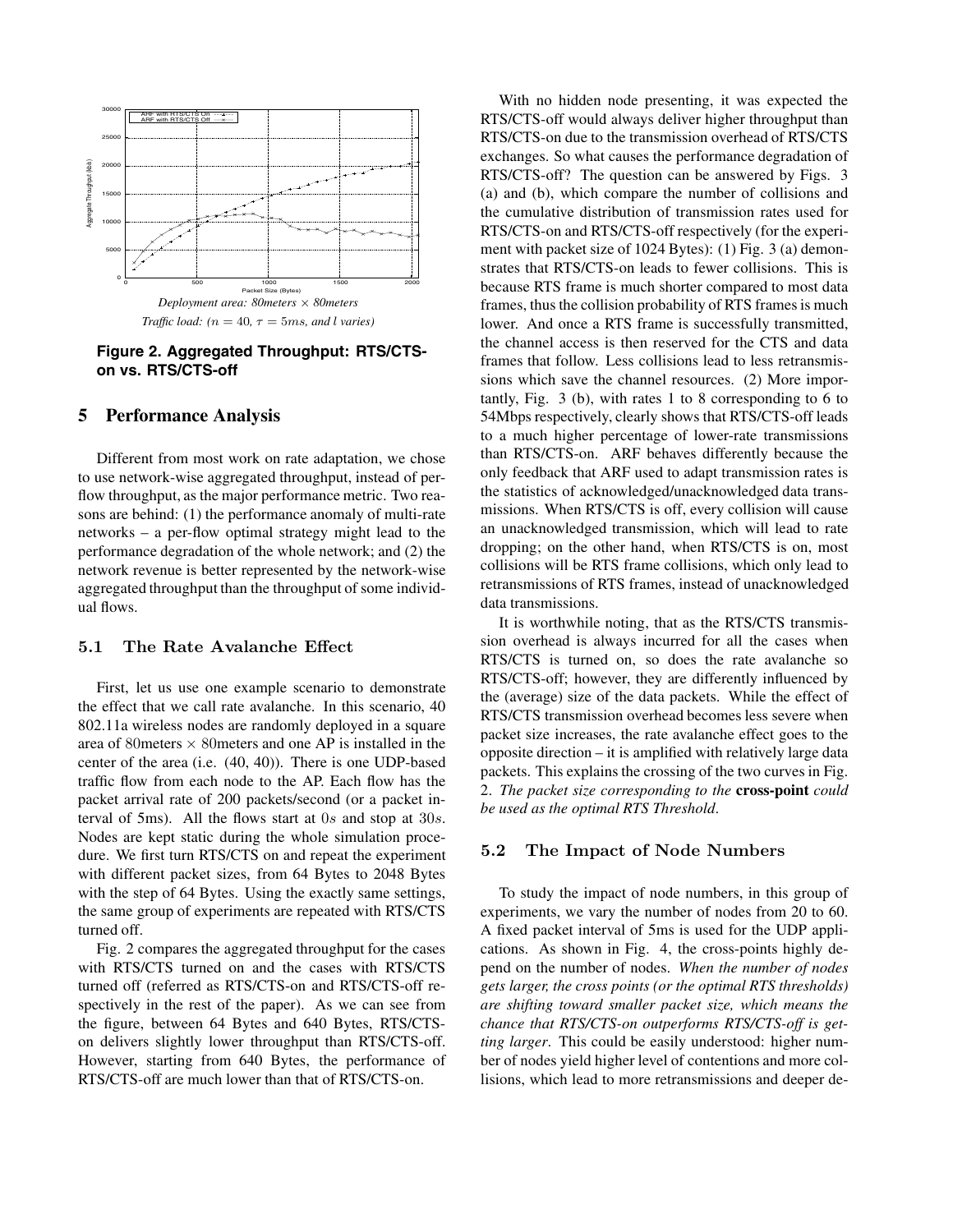

**Figure 2. Aggregated Throughput: RTS/CTSon vs. RTS/CTS-off**

## **5 Performance Analysis**

Different from most work on rate adaptation, we chose to use network-wise aggregated throughput, instead of perflow throughput, as the major performance metric. Two reasons are behind: (1) the performance anomaly of multi-rate networks – a per-flow optimal strategy might lead to the performance degradation of the whole network; and (2) the network revenue is better represented by the network-wise aggregated throughput than the throughput of some individual flows.

#### **5.1 The Rate Avalanche Effect**

First, let us use one example scenario to demonstrate the effect that we call rate avalanche. In this scenario, 40 802.11a wireless nodes are randomly deployed in a square area of 80 meters  $\times$  80 meters and one AP is installed in the center of the area (i.e. (40, 40)). There is one UDP-based traffic flow from each node to the AP. Each flow has the packet arrival rate of 200 packets/second (or a packet interval of 5ms). All the flows start at 0<sup>s</sup> and stop at 30s. Nodes are kept static during the whole simulation procedure. We first turn RTS/CTS on and repeat the experiment with different packet sizes, from 64 Bytes to 2048 Bytes with the step of 64 Bytes. Using the exactly same settings, the same group of experiments are repeated with RTS/CTS turned off.

Fig. 2 compares the aggregated throughput for the cases with RTS/CTS turned on and the cases with RTS/CTS turned off (referred as RTS/CTS-on and RTS/CTS-off respectively in the rest of the paper). As we can see from the figure, between 64 Bytes and 640 Bytes, RTS/CTSon delivers slightly lower throughput than RTS/CTS-off. However, starting from 640 Bytes, the performance of RTS/CTS-off are much lower than that of RTS/CTS-on.

With no hidden node presenting, it was expected the RTS/CTS-off would always deliver higher throughput than RTS/CTS-on due to the transmission overhead of RTS/CTS exchanges. So what causes the performance degradation of RTS/CTS-off? The question can be answered by Figs. 3 (a) and (b), which compare the number of collisions and the cumulative distribution of transmission rates used for RTS/CTS-on and RTS/CTS-off respectively (for the experiment with packet size of 1024 Bytes): (1) Fig. 3 (a) demonstrates that RTS/CTS-on leads to fewer collisions. This is because RTS frame is much shorter compared to most data frames, thus the collision probability of RTS frames is much lower. And once a RTS frame is successfully transmitted, the channel access is then reserved for the CTS and data frames that follow. Less collisions lead to less retransmissions which save the channel resources. (2) More importantly, Fig. 3 (b), with rates 1 to 8 corresponding to 6 to 54Mbps respectively, clearly shows that RTS/CTS-off leads to a much higher percentage of lower-rate transmissions than RTS/CTS-on. ARF behaves differently because the only feedback that ARF used to adapt transmission rates is the statistics of acknowledged/unacknowledged data transmissions. When RTS/CTS is off, every collision will cause an unacknowledged transmission, which will lead to rate dropping; on the other hand, when RTS/CTS is on, most collisions will be RTS frame collisions, which only lead to retransmissions of RTS frames, instead of unacknowledged data transmissions.

It is worthwhile noting, that as the RTS/CTS transmission overhead is always incurred for all the cases when RTS/CTS is turned on, so does the rate avalanche so RTS/CTS-off; however, they are differently influenced by the (average) size of the data packets. While the effect of RTS/CTS transmission overhead becomes less severe when packet size increases, the rate avalanche effect goes to the opposite direction – it is amplified with relatively large data packets. This explains the crossing of the two curves in Fig. 2. *The packet size corresponding to the* **cross-point** *could be used as the optimal RTS Threshold*.

### **5.2 The Impact of Node Numbers**

To study the impact of node numbers, in this group of experiments, we vary the number of nodes from 20 to 60. A fixed packet interval of 5ms is used for the UDP applications. As shown in Fig. 4, the cross-points highly depend on the number of nodes. *When the number of nodes gets larger, the cross points (or the optimal RTS thresholds) are shifting toward smaller packet size, which means the chance that RTS/CTS-on outperforms RTS/CTS-off is getting larger*. This could be easily understood: higher number of nodes yield higher level of contentions and more collisions, which lead to more retransmissions and deeper de-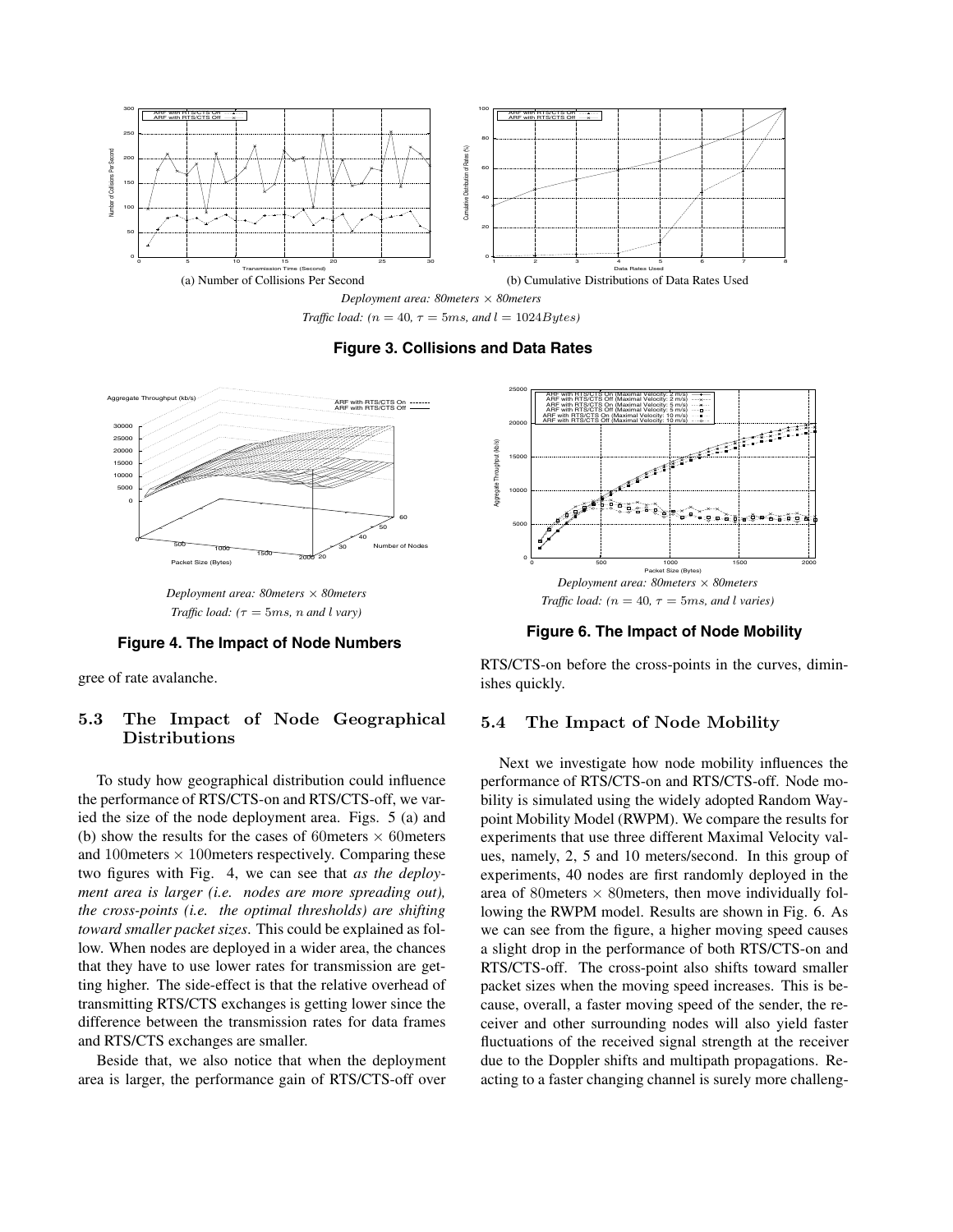

*Traffic load:*  $(n = 40, \tau = 5ms, and l = 1024Bytes)$ 





*Deployment area: 80meters × 80meters Traffic load:*  $(\tau = 5ms, n \text{ and } l \text{ vary})$ 

#### **Figure 4. The Impact of Node Numbers**

gree of rate avalanche.

## **5.3 The Impact of Node Geographical Distributions**

To study how geographical distribution could influence the performance of RTS/CTS-on and RTS/CTS-off, we varied the size of the node deployment area. Figs. 5 (a) and (b) show the results for the cases of 60 meters  $\times$  60 meters and 100 meters  $\times$  100 meters respectively. Comparing these two figures with Fig. 4, we can see that *as the deployment area is larger (i.e. nodes are more spreading out), the cross-points (i.e. the optimal thresholds) are shifting toward smaller packet sizes*. This could be explained as follow. When nodes are deployed in a wider area, the chances that they have to use lower rates for transmission are getting higher. The side-effect is that the relative overhead of transmitting RTS/CTS exchanges is getting lower since the difference between the transmission rates for data frames and RTS/CTS exchanges are smaller.

Beside that, we also notice that when the deployment area is larger, the performance gain of RTS/CTS-off over



**Figure 6. The Impact of Node Mobility**

RTS/CTS-on before the cross-points in the curves, diminishes quickly.

### **5.4 The Impact of Node Mobility**

Next we investigate how node mobility influences the performance of RTS/CTS-on and RTS/CTS-off. Node mobility is simulated using the widely adopted Random Waypoint Mobility Model (RWPM). We compare the results for experiments that use three different Maximal Velocity values, namely, 2, 5 and 10 meters/second. In this group of experiments, 40 nodes are first randomly deployed in the area of 80 meters  $\times$  80 meters, then move individually following the RWPM model. Results are shown in Fig. 6. As we can see from the figure, a higher moving speed causes a slight drop in the performance of both RTS/CTS-on and RTS/CTS-off. The cross-point also shifts toward smaller packet sizes when the moving speed increases. This is because, overall, a faster moving speed of the sender, the receiver and other surrounding nodes will also yield faster fluctuations of the received signal strength at the receiver due to the Doppler shifts and multipath propagations. Reacting to a faster changing channel is surely more challeng-